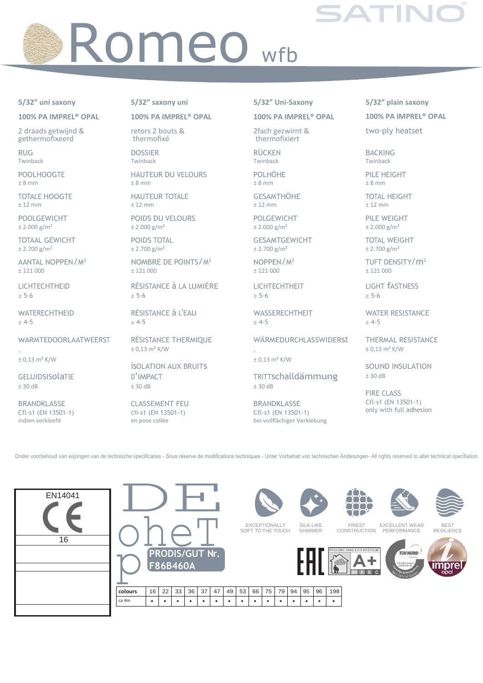## Romeo <sub>wfb</sub>

## 5/32" uni saxony

100% PA IMPREL® OPAL

2 draads getwijnd & gethermofixeerd

**RUG** Twinback

POOL HOOGTE  $± 8 mm$ 

**TOTALE HOOGTE**  $± 12 mm$ 

**POOLGEWICHT**  $± 2.000 g/m<sup>2</sup>$ 

**TOTAAL GEWICHT**  $± 2.700$  g/m<sup>2</sup>

AANTAL NOPPEN/M<sup>2</sup>  $± 121000$ 

LICHTECHTHEID  $\geq 5 - 6$ 

WATERECHTHEID  $\geq 4-5$ 

WARMTEDOORLAATWEERST

 $\pm$  0,13 m<sup>2</sup> K/W

GELUIDSISOLATIE  $± 30 dB$ 

**BRANDKLASSE** Cfl-s1 (EN 13501-1) indien verkleefd

5/32" saxony uni

100% PA IMPREL® OPAL

retors 2 bouts & thermofixé

**DOSSIER** Twinback

**HAUTEUR DU VELOURS**  $± 8 mm$ 

**HAUTEUR TOTALE**  $± 12$  mm

POIDS DU VELOURS  $± 2.000 g/m<sup>2</sup>$ 

POIDS TOTAL  $+2.700$  g/m<sup>2</sup>

NOMBRE DE POINTS/M<sup>2</sup>  $± 121000$ 

RÉSISTANCE à LA LUMIÈRE  $\geq 5 - 6$ 

RÉSISTANCE à L'EAU  $> 4-5$ 

RÉSISTANCE THERMIOUE  $± 0,13 m<sup>2</sup> K/W$ 

**ISOLATION AUX BRUITS** D'IMPACT  $± 30 dB$ 

**CLASSEMENT FEU** CfI-s1 (EN 13501-1) en pose collée

5/32" Uni-Saxony

100% PA IMPREL<sup>®</sup> OPAL

2fach gezwirnt & thermofixiert

**RÜCKEN** Twinback

**POLHÖHE**  $± 8 mm$ 

**GESAMTHÖHE**  $± 12$  mm

**POLGEWICHT**  $± 2.000 g/m<sup>2</sup>$ 

**GESAMTGEWICHT**  $± 2.700$  g/m<sup>2</sup>

NOPPEN/M<sup>2</sup>  $± 121000$ 

LICHTECHTHEIT  $\geq 5 - 6$ 

**WASSERECHTHEIT**  $> 4-5$ 

WÄRMEDURCHLASSWIDERSt

 $± 0,13 m<sup>2</sup> K/W$ 

TRITTschalldämmung  $± 30 dB$ 

**BRANDKLASSE** Cfl-s1 (EN 13501-1) bei vollflächiger Verklebung 5/32" plain saxony 100% PA IMPREL<sup>®</sup> OPAL

two-ply heatset

**BACKING** Twinback

PILE HEIGHT  $± 8 mm$ 

**TOTAL HEIGHT**  $± 12$  mm

PILE WEIGHT  $± 2.000 g/m<sup>2</sup>$ 

**TOTAL WEIGHT**  $± 2.700 g/m<sup>2</sup>$ 

TUFT DENSITY/m<sup>2</sup>  $± 121000$ 

LIGHT **fASTNESS**  $\geq 5-6$ 

**WATER RESISTANCE**  $\geq 4-5$ 

**THERMAL RESISTANCE**  $± 0,13 m<sup>2</sup> K/W$ 

**SOUND INSULATION**  $± 30 dB$ 

**FIRE CLASS** Cfl-s1 (EN 13501-1) only with full adhesion

Onder voorbehoud van wijzingen van de technische specificaties - Sous réserve de modifications techniques - Unter Vorbehalt von technischen Änderungen- All rights reserved to alter technical specifiation